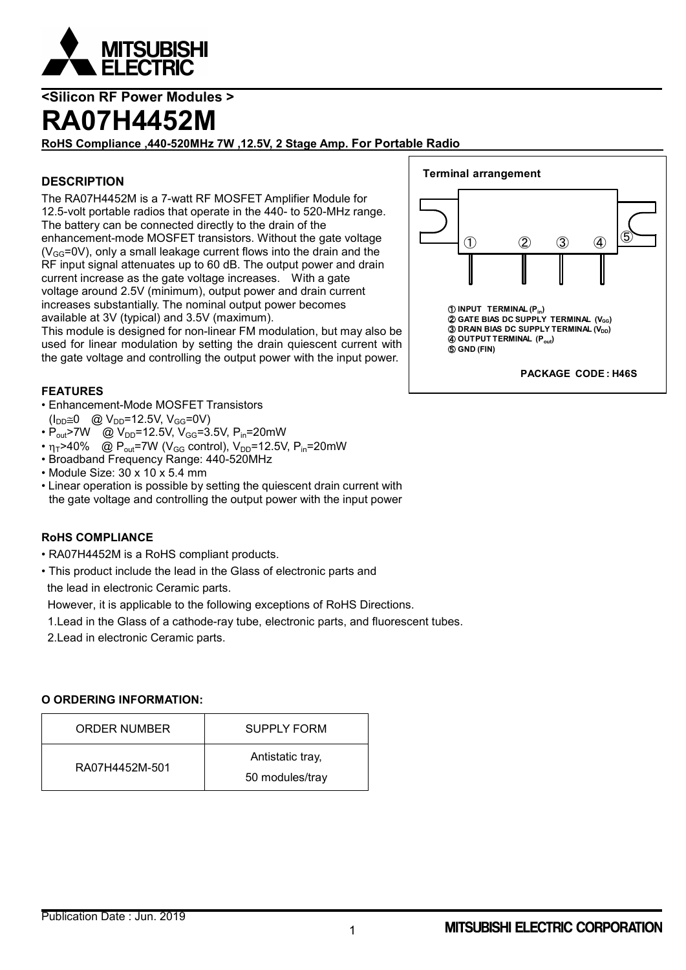

### **RA07H4452M**

**RoHS Compliance ,440-520MHz 7W ,12.5V, 2 Stage Amp. For Portable Radio**

#### **DESCRIPTION**

The RA07H4452M is a 7-watt RF MOSFET Amplifier Module for 12.5-volt portable radios that operate in the 440- to 520-MHz range. The battery can be connected directly to the drain of the enhancement-mode MOSFET transistors. Without the gate voltage  $(V_{GG}=0V)$ , only a small leakage current flows into the drain and the RF input signal attenuates up to 60 dB. The output power and drain current increase as the gate voltage increases. With a gate voltage around 2.5V (minimum), output power and drain current increases substantially. The nominal output power becomes available at 3V (typical) and 3.5V (maximum).

This module is designed for non-linear FM modulation, but may also be used for linear modulation by setting the drain quiescent current with the gate voltage and controlling the output power with the input power.

#### **FEATURES**

• Enhancement-Mode MOSFET Transistors

- $(I_{DD} \cong 0 \quad \textcircled{a} \ \text{V}_{DD} = 12.5 \text{V}, \ \text{V}_{GG} = 0 \text{V}$
- $P_{\text{out}}$ >7W @  $V_{\text{DD}}$ =12.5V,  $V_{\text{GG}}$ =3.5V,  $P_{\text{in}}$ =20mW
- $n_T > 40\%$  @ P<sub>out</sub>=7W (V<sub>GG</sub> control), V<sub>DD</sub>=12.5V, P<sub>in</sub>=20mW
- Broadband Frequency Range: 440-520MHz
- Module Size: 30 x 10 x 5.4 mm
- Linear operation is possible by setting the quiescent drain current with the gate voltage and controlling the output power with the input power

#### **RoHS COMPLIANCE**

- RA07H4452M is a RoHS compliant products.
- This product include the lead in the Glass of electronic parts and the lead in electronic Ceramic parts.

However, it is applicable to the following exceptions of RoHS Directions.

- 1.Lead in the Glass of a cathode-ray tube, electronic parts, and fluorescent tubes.
- 2.Lead in electronic Ceramic parts.

#### **O ORDERING INFORMATION:**

| ORDER NUMBER   | <b>SUPPLY FORM</b>                  |
|----------------|-------------------------------------|
| RA07H4452M-501 | Antistatic tray,<br>50 modules/tray |

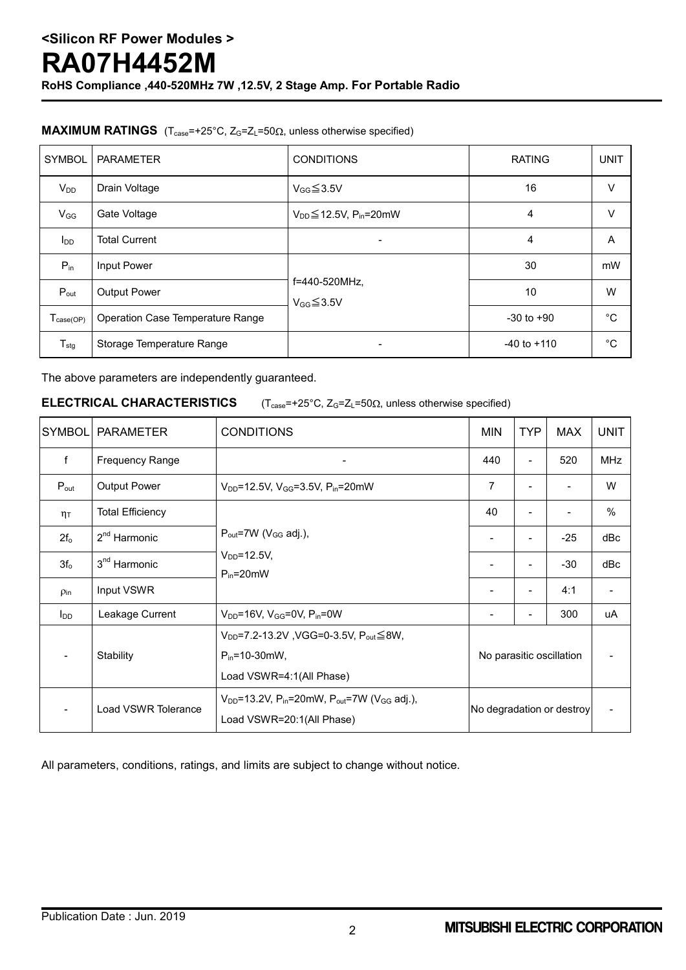**RoHS Compliance ,440-520MHz 7W ,12.5V, 2 Stage Amp. For Portable Radio**

#### **MAXIMUM RATINGS** ( $T_{case} = +25^{\circ}C$ ,  $Z_{G} = Z_{L} = 50\Omega$ , unless otherwise specified)

| <b>SYMBOL</b>                | <b>PARAMETER</b>                 | <b>CONDITIONS</b>                           | <b>RATING</b>   | <b>UNIT</b> |
|------------------------------|----------------------------------|---------------------------------------------|-----------------|-------------|
| $V_{DD}$                     | Drain Voltage                    | $V_{GG} \leq 3.5V$                          | 16              | V           |
| $V_{GG}$                     | Gate Voltage                     | $V_{DD} \leq 12.5V$ , P <sub>in</sub> =20mW | 4               | V           |
| $I_{DD}$                     | <b>Total Current</b>             | $\overline{\phantom{0}}$                    | 4               | A           |
| $P_{in}$                     | Input Power                      |                                             | 30              | mW          |
| $P_{\text{out}}$             | <b>Output Power</b>              | f=440-520MHz,<br>$V$ <sub>GG</sub> $≤3.5V$  | 10              | W           |
| $T_{\text{case}(\text{OP})}$ | Operation Case Temperature Range |                                             | $-30$ to $+90$  | °C          |
| $T_{\text{stg}}$             | Storage Temperature Range        |                                             | $-40$ to $+110$ | °C          |

The above parameters are independently guaranteed.

**ELECTRICAL CHARACTERISTICS**  $(T_{case} = +25^{\circ}C, Z_G = Z_L = 50\Omega,$  unless otherwise specified)

| <b>SYMBOL</b>      | <b>PARAMETER</b>         | <b>CONDITIONS</b>                                                                                                 | <b>MIN</b>                | <b>TYP</b>     | <b>MAX</b> | <b>UNIT</b> |
|--------------------|--------------------------|-------------------------------------------------------------------------------------------------------------------|---------------------------|----------------|------------|-------------|
| f                  | <b>Frequency Range</b>   |                                                                                                                   | 440                       | $\blacksquare$ | 520        | <b>MHz</b>  |
| $P_{\text{out}}$   | <b>Output Power</b>      | $V_{DD} = 12.5V$ , $V_{GG} = 3.5V$ , $P_{in} = 20mW$                                                              |                           |                |            | W           |
| $\eta$ T           | <b>Total Efficiency</b>  |                                                                                                                   | 40                        |                |            | $\%$        |
| $2f_{o}$           | $2nd$ Harmonic           | $P_{out}$ =7W ( $V_{GG}$ adj.),<br>$V_{DD} = 12.5V,$<br>$P_{in} = 20$ mW                                          |                           | -              | $-25$      | dBc         |
| 3f <sub>o</sub>    | 3 <sup>nd</sup> Harmonic |                                                                                                                   |                           | -              | -30        | dBc         |
| $\rho_{\text{in}}$ | Input VSWR               |                                                                                                                   |                           |                | 4:1        |             |
| $I_{DD}$           | Leakage Current          | $V_{DD}$ =16V, $V_{GG}$ =0V, $P_{in}$ =0W                                                                         | -                         | -              | 300        | uA          |
|                    | Stability                | $V_{DD} = 7.2 - 13.2V$ , VGG=0-3.5V, $P_{out} \leq 8W$ ,<br>$P_{in} = 10 - 30$ mW,<br>Load VSWR=4:1(All Phase)    | No parasitic oscillation  |                |            |             |
|                    | Load VSWR Tolerance      | $V_{DD}$ =13.2V, P <sub>in</sub> =20mW, P <sub>out</sub> =7W (V <sub>GG</sub> adj.),<br>Load VSWR=20:1(All Phase) | No degradation or destroy |                |            |             |

All parameters, conditions, ratings, and limits are subject to change without notice.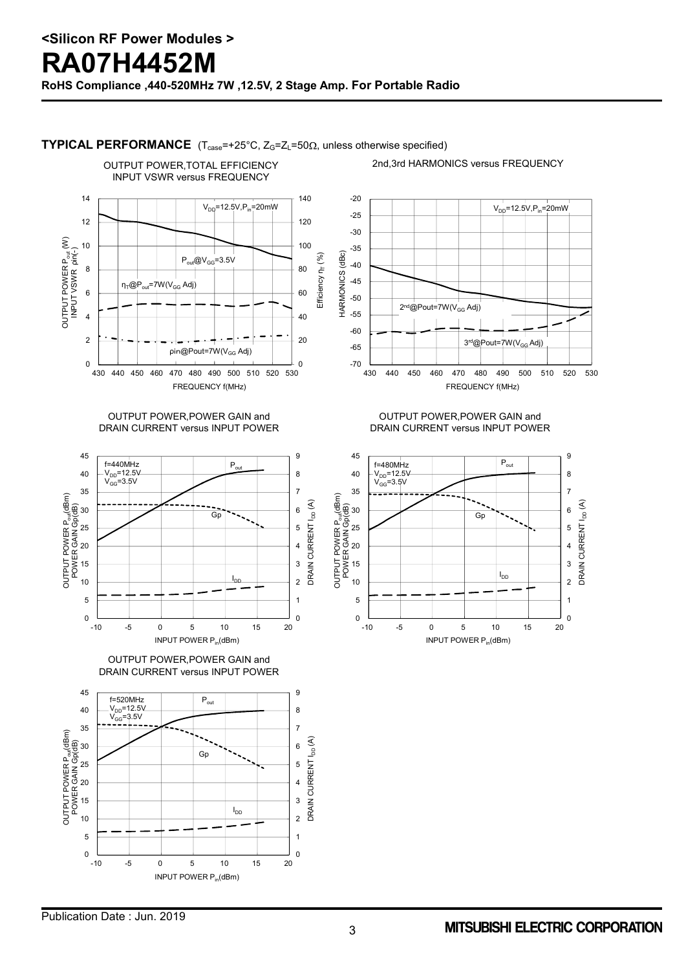

**TYPICAL PERFORMANCE** (T<sub>case</sub>=+25°C, Z<sub>G</sub>=Z<sub>L</sub>=50Ω, unless otherwise specified)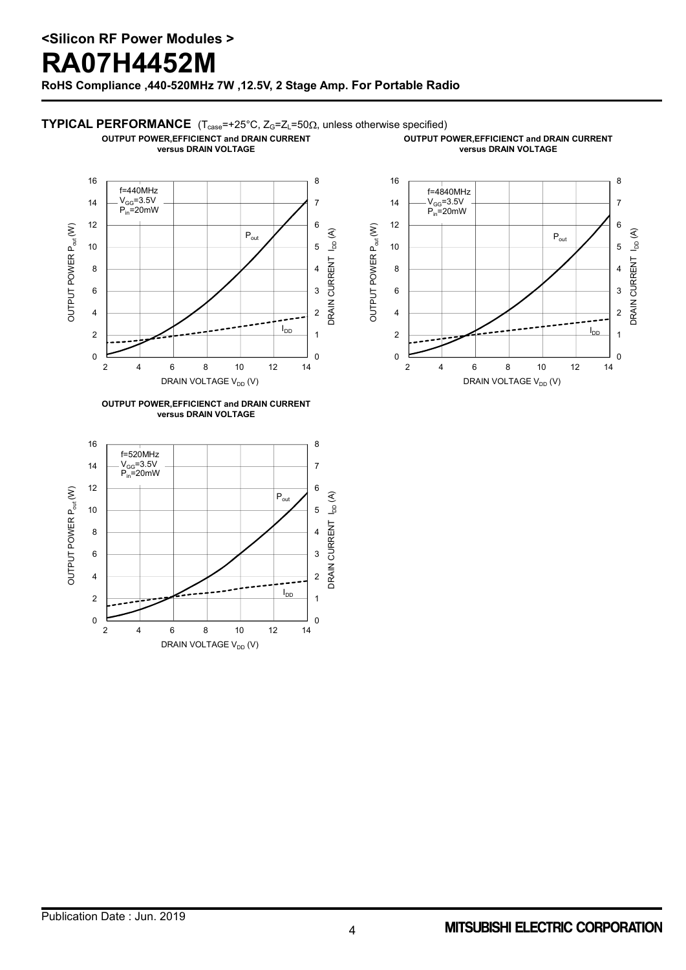### **RA07H4452M**

**RoHS Compliance ,440-520MHz 7W ,12.5V, 2 Stage Amp. For Portable Radio**

### **TYPICAL PERFORMANCE** (T<sub>case</sub>=+25°C, Z<sub>G</sub>=Z<sub>L</sub>=50Ω, unless otherwise specified)

**OUTPUT POWER,EFFICIENCT and DRAIN CURRENT versus DRAIN VOLTAGE**

**OUTPUT POWER,EFFICIENCT and DRAIN CURRENT versus DRAIN VOLTAGE**







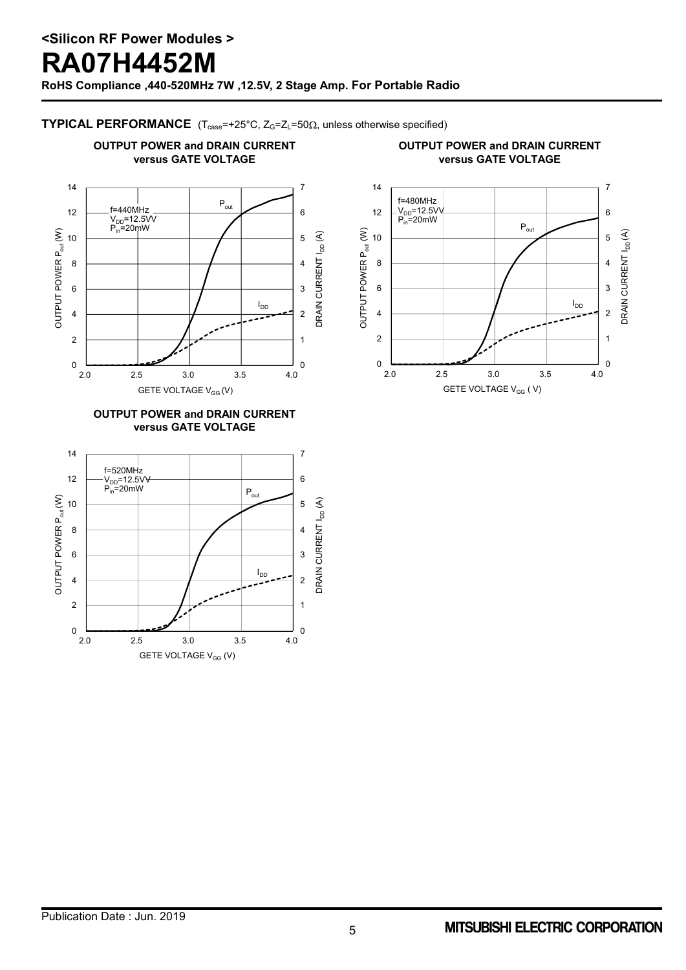**RoHS Compliance ,440-520MHz 7W ,12.5V, 2 Stage Amp. For Portable Radio**

### **TYPICAL PERFORMANCE**  $(T_{case} = +25^{\circ}C, Z_G = Z_L = 50\Omega,$  unless otherwise specified)

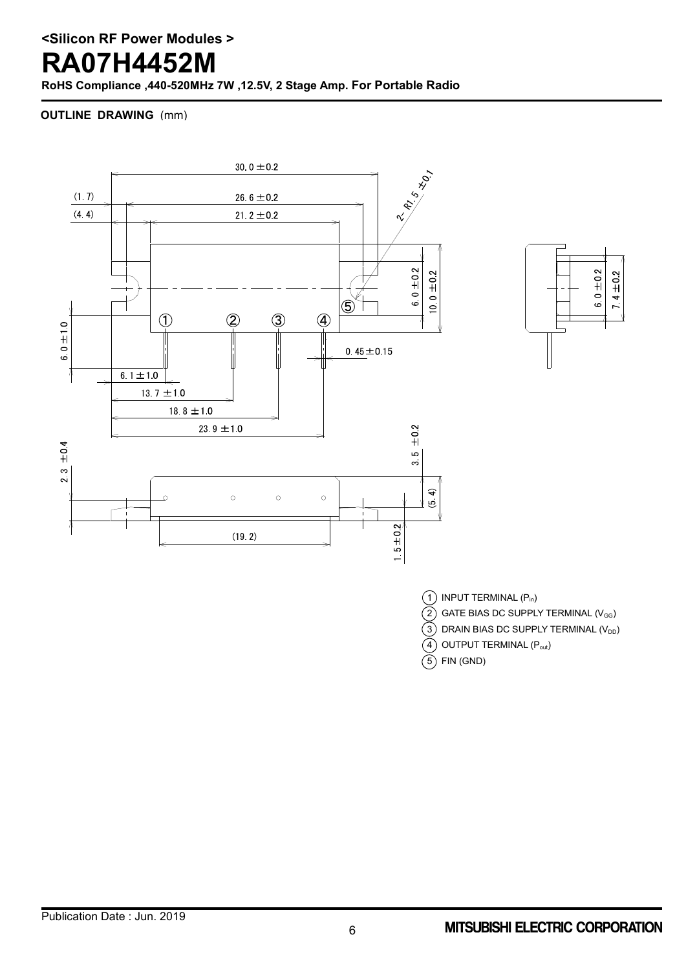# **RA07H4452M**

**RoHS Compliance ,440-520MHz 7W ,12.5V, 2 Stage Amp. For Portable Radio**

#### **OUTLINE DRAWING** (mm)





 $(1)$  INPUT TERMINAL  $(P_{in})$ 

 $\widetilde{2}$ ) GATE BIAS DC SUPPLY TERMINAL (V<sub>GG</sub>)

 $\widetilde{3}$ ) DRAIN BIAS DC SUPPLY TERMINAL (V<sub>DD</sub>)

 $\left( \widehat{4}\right)$  OUTPUT TERMINAL  $\left( \mathsf{P}_{\mathsf{out}}\right)$ 

 $(5)$  FIN (GND)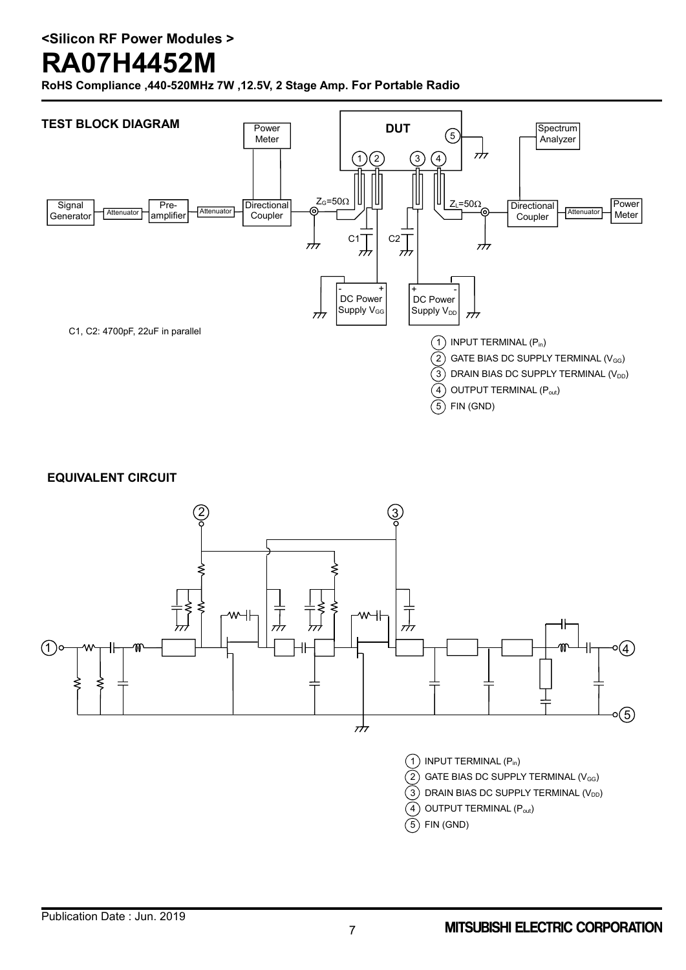# **RA07H4452M**

**RoHS Compliance ,440-520MHz 7W ,12.5V, 2 Stage Amp. For Portable Radio**



**EQUIVALENT CIRCUIT**

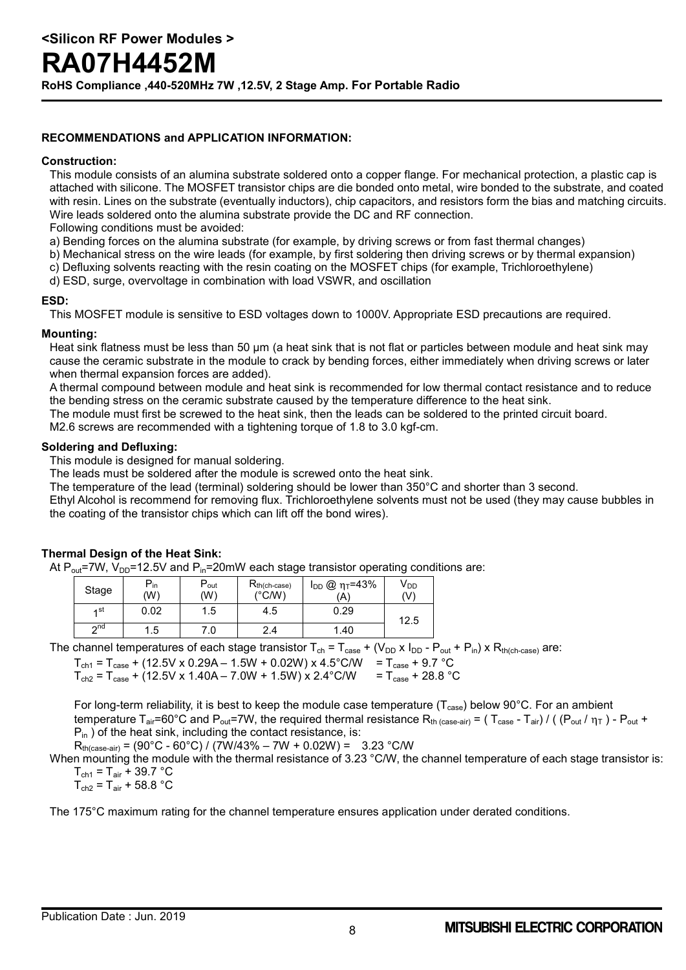**RoHS Compliance ,440-520MHz 7W ,12.5V, 2 Stage Amp. For Portable Radio**

#### **RECOMMENDATIONS and APPLICATION INFORMATION:**

#### **Construction:**

This module consists of an alumina substrate soldered onto a copper flange. For mechanical protection, a plastic cap is attached with silicone. The MOSFET transistor chips are die bonded onto metal, wire bonded to the substrate, and coated with resin. Lines on the substrate (eventually inductors), chip capacitors, and resistors form the bias and matching circuits. Wire leads soldered onto the alumina substrate provide the DC and RF connection.

Following conditions must be avoided:

- a) Bending forces on the alumina substrate (for example, by driving screws or from fast thermal changes)
- b) Mechanical stress on the wire leads (for example, by first soldering then driving screws or by thermal expansion)
- c) Defluxing solvents reacting with the resin coating on the MOSFET chips (for example, Trichloroethylene)
- d) ESD, surge, overvoltage in combination with load VSWR, and oscillation

#### **ESD:**

This MOSFET module is sensitive to ESD voltages down to 1000V. Appropriate ESD precautions are required.

#### **Mounting:**

Heat sink flatness must be less than 50 µm (a heat sink that is not flat or particles between module and heat sink may cause the ceramic substrate in the module to crack by bending forces, either immediately when driving screws or later when thermal expansion forces are added).

A thermal compound between module and heat sink is recommended for low thermal contact resistance and to reduce the bending stress on the ceramic substrate caused by the temperature difference to the heat sink.

The module must first be screwed to the heat sink, then the leads can be soldered to the printed circuit board.

M2.6 screws are recommended with a tightening torque of 1.8 to 3.0 kgf-cm.

#### **Soldering and Defluxing:**

This module is designed for manual soldering.

The leads must be soldered after the module is screwed onto the heat sink.

The temperature of the lead (terminal) soldering should be lower than 350°C and shorter than 3 second.

Ethyl Alcohol is recommend for removing flux. Trichloroethylene solvents must not be used (they may cause bubbles in the coating of the transistor chips which can lift off the bond wires).

#### **Thermal Design of the Heat Sink:**

At  $P_{out}$ =7W,  $V_{DD}$ =12.5V and  $P_{in}$ =20mW each stage transistor operating conditions are:

| Stage     | $P_{in}$<br>(W) | D<br>‴out<br>(W) | $R_{th(ch-case)}$<br>(°C/W) | $I_{DD}$ @ ητ=43%<br>(A | V <sub>DD</sub><br>(V) |
|-----------|-----------------|------------------|-----------------------------|-------------------------|------------------------|
| ⊿st       | 0.02            | 1.5              | 4.5                         | 0.29                    | 12.5                   |
| $\sim$ nd | 5.،             | 7.0              | 2.4                         | 1.40                    |                        |

The channel temperatures of each stage transistor  $T_{ch} = T_{case} + (V_{DD} \times I_{DD} - P_{out} + P_{in}) \times R_{th(ch-case)}$  are:

 $T_{ch1} = T_{case} + (12.5V \times 0.29A - 1.5W + 0.02W) \times 4.5^{\circ}$ C/W =  $T_{case} + 9.7^{\circ}$ C  $T_{\text{ch2}} = T_{\text{case}} + (12.5V \times 1.40A - 7.0W + 1.5W) \times 2.4^{\circ}$ C/W =  $T_{\text{case}} + 28.8^{\circ}$ C

For long-term reliability, it is best to keep the module case temperature ( $T_{case}$ ) below 90°C. For an ambient temperature T<sub>air</sub>=60°C and P<sub>out</sub>=7W, the required thermal resistance R<sub>th (case-air)</sub> = ( T<sub>case</sub> - T<sub>air</sub>) / ( (P<sub>out</sub> /  $\eta$ <sub>T</sub> ) - P<sub>out</sub> +  $P_{in}$ ) of the heat sink, including the contact resistance, is:

 $R_{th (case-air)} = (90^{\circ}C - 60^{\circ}C) / (7W/43\% - 7W + 0.02W) = 3.23 \degree C/W$ 

When mounting the module with the thermal resistance of 3.23 °C/W, the channel temperature of each stage transistor is:  $T_{\text{ch1}} = T_{\text{air}} + 39.7 \text{ °C}$ 

 $T_{\text{ch2}} = T_{\text{air}} + 58.8 \text{ °C}$ 

The 175°C maximum rating for the channel temperature ensures application under derated conditions.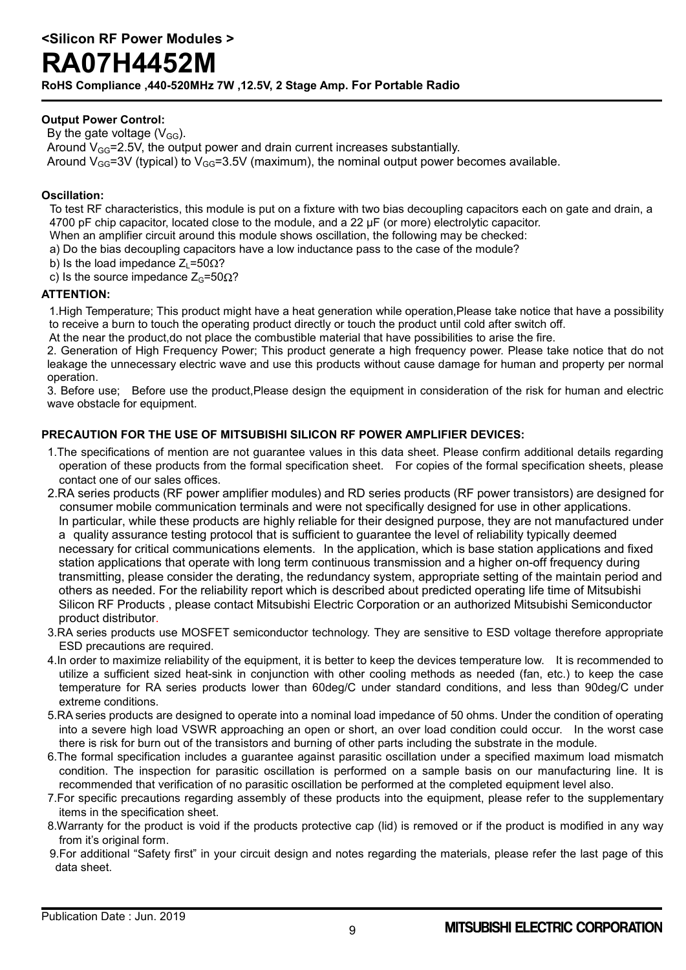**RoHS Compliance ,440-520MHz 7W ,12.5V, 2 Stage Amp. For Portable Radio**

#### **Output Power Control:**

By the gate voltage  $(V_{GG})$ . Around  $V_{GG}$ =2.5V, the output power and drain current increases substantially. Around  $V_{GG}$ =3V (typical) to  $V_{GG}$ =3.5V (maximum), the nominal output power becomes available.

#### **Oscillation:**

To test RF characteristics, this module is put on a fixture with two bias decoupling capacitors each on gate and drain, a 4700 pF chip capacitor, located close to the module, and a 22 µF (or more) electrolytic capacitor.

When an amplifier circuit around this module shows oscillation, the following may be checked:

- a) Do the bias decoupling capacitors have a low inductance pass to the case of the module?
- b) Is the load impedance  $Z_1 = 50 \Omega$ ?
- c) Is the source impedance  $Z_{G}$ =50 $\Omega$ ?

#### **ATTENTION:**

1.High Temperature; This product might have a heat generation while operation,Please take notice that have a possibility to receive a burn to touch the operating product directly or touch the product until cold after switch off.

At the near the product,do not place the combustible material that have possibilities to arise the fire.

2. Generation of High Frequency Power; This product generate a high frequency power. Please take notice that do not leakage the unnecessary electric wave and use this products without cause damage for human and property per normal operation.

3. Before use; Before use the product,Please design the equipment in consideration of the risk for human and electric wave obstacle for equipment.

#### **PRECAUTION FOR THE USE OF MITSUBISHI SILICON RF POWER AMPLIFIER DEVICES:**

- 1.The specifications of mention are not guarantee values in this data sheet. Please confirm additional details regarding operation of these products from the formal specification sheet. For copies of the formal specification sheets, please contact one of our sales offices.
- 2.RA series products (RF power amplifier modules) and RD series products (RF power transistors) are designed for consumer mobile communication terminals and were not specifically designed for use in other applications. In particular, while these products are highly reliable for their designed purpose, they are not manufactured under a quality assurance testing protocol that is sufficient to guarantee the level of reliability typically deemed necessary for critical communications elements. In the application, which is base station applications and fixed station applications that operate with long term continuous transmission and a higher on-off frequency during transmitting, please consider the derating, the redundancy system, appropriate setting of the maintain period and others as needed. For the reliability report which is described about predicted operating life time of Mitsubishi Silicon RF Products , please contact Mitsubishi Electric Corporation or an authorized Mitsubishi Semiconductor product distributor.
- 3.RA series products use MOSFET semiconductor technology. They are sensitive to ESD voltage therefore appropriate ESD precautions are required.
- 4.In order to maximize reliability of the equipment, it is better to keep the devices temperature low. It is recommended to utilize a sufficient sized heat-sink in conjunction with other cooling methods as needed (fan, etc.) to keep the case temperature for RA series products lower than 60deg/C under standard conditions, and less than 90deg/C under extreme conditions.
- 5.RA series products are designed to operate into a nominal load impedance of 50 ohms. Under the condition of operating into a severe high load VSWR approaching an open or short, an over load condition could occur. In the worst case there is risk for burn out of the transistors and burning of other parts including the substrate in the module.
- 6.The formal specification includes a guarantee against parasitic oscillation under a specified maximum load mismatch condition. The inspection for parasitic oscillation is performed on a sample basis on our manufacturing line. It is recommended that verification of no parasitic oscillation be performed at the completed equipment level also.
- 7.For specific precautions regarding assembly of these products into the equipment, please refer to the supplementary items in the specification sheet.
- 8.Warranty for the product is void if the products protective cap (lid) is removed or if the product is modified in any way from it's original form.
- 9.For additional "Safety first" in your circuit design and notes regarding the materials, please refer the last page of this data sheet.